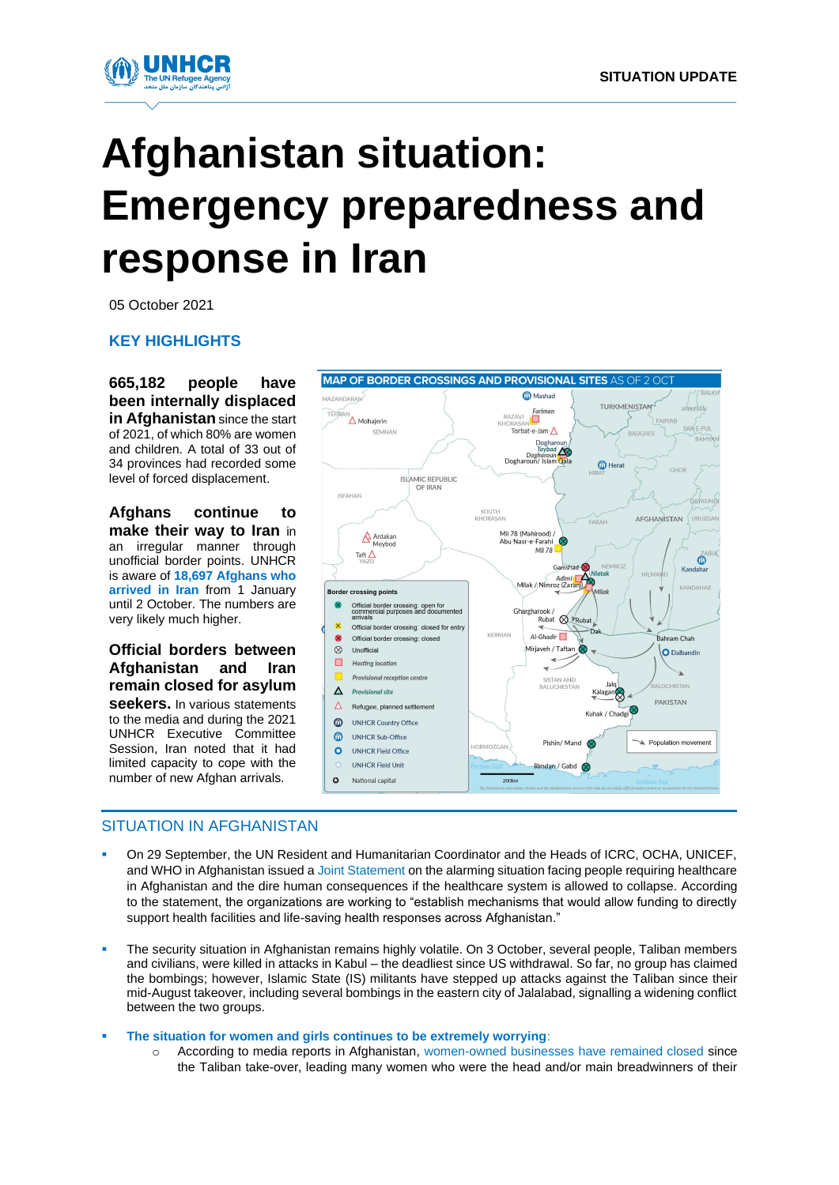

# **Afghanistan situation: Emergency preparedness and response in Iran**

05 October 2021

**KEY HIGHLIGHTS**

**665,182 people have been internally displaced in Afghanistan** since the start of 2021, of which 80% are women and children. A total of 33 out of 34 provinces had recorded some level of forced displacement.

**Afghans continue to make their way to Iran** in an irregular manner through unofficial border points. UNHCR is aware of **18,697 Afghans who arrived in Iran** from 1 January until 2 October. The numbers are very likely much higher.

### **Official borders between Afghanistan and Iran remain closed for asylum**

**seekers.** In various statements to the media and during the 2021 UNHCR Executive Committee Session, Iran noted that it had limited capacity to cope with the number of new Afghan arrivals.



# SITUATION IN AFGHANISTAN

- On 29 September, the UN Resident and Humanitarian Coordinator and the Heads of ICRC, OCHA, UNICEF, and WHO in Afghanistan issued [a Joint Statement](https://eur02.safelinks.protection.outlook.com/?url=https%3A%2F%2Freliefweb.int%2Freport%2Fafghanistan%2Fjoint-statement-un-resident-and-humanitarian-coordinator-and-heads-icrc-ocha&data=04%7C01%7Czamanian%40unhcr.org%7C483252dee33940890ecf08d9842dafa7%7Ce5c37981666441348a0c6543d2af80be%7C0%7C0%7C637686154056223639%7CUnknown%7CTWFpbGZsb3d8eyJWIjoiMC4wLjAwMDAiLCJQIjoiV2luMzIiLCJBTiI6Ik1haWwiLCJXVCI6Mn0%3D%7C1000&sdata=q4iF3NImlLhfnhp3IiaAaY7XMlSaQcGi%2F0SzAq%2F7p4g%3D&reserved=0) on the alarming situation facing people requiring healthcare in Afghanistan and the dire human consequences if the healthcare system is allowed to collapse. According to the statement, the organizations are working to "establish mechanisms that would allow funding to directly support health facilities and life-saving health responses across Afghanistan."
- The security situation in Afghanistan remains highly volatile. On 3 October, several people, Taliban members and civilians, were killed in attacks in Kabul – the deadliest since US withdrawal. So far, no group has claimed the bombings; however, Islamic State (IS) militants have stepped up attacks against the Taliban since their mid-August takeover, including several bombings in the eastern city of Jalalabad, signalling a widening conflict between the two groups.
- **The situation for women and girls continues to be extremely worrying**:
	- According to media reports in Afghanistan, [women-owned businesses](https://tolonews.com/afghanistan-174753) have remained closed since the Taliban take-over, leading many women who were the head and/or main breadwinners of their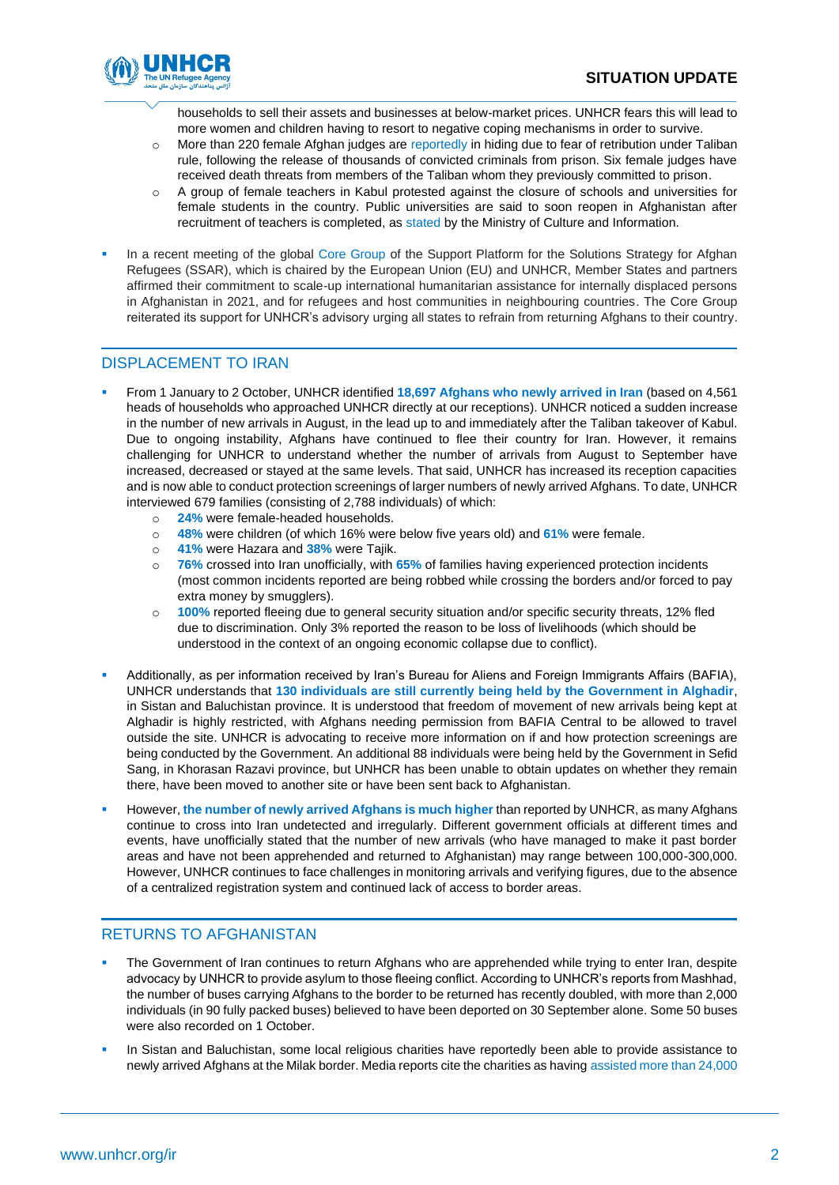

households to sell their assets and businesses at below-market prices. UNHCR fears this will lead to more women and children having to resort to negative coping mechanisms in order to survive.

- o More than 220 female Afghan judges ar[e reportedly](https://eur02.safelinks.protection.outlook.com/?url=https%3A%2F%2Fwww.bbc.com%2Fnews%2Fworld-asia-58709353&data=04%7C01%7Czamanian%40unhcr.org%7C483252dee33940890ecf08d9842dafa7%7Ce5c37981666441348a0c6543d2af80be%7C0%7C0%7C637686154056283607%7CUnknown%7CTWFpbGZsb3d8eyJWIjoiMC4wLjAwMDAiLCJQIjoiV2luMzIiLCJBTiI6Ik1haWwiLCJXVCI6Mn0%3D%7C1000&sdata=XLBXf%2F3OIWnlIk5HHiEfYaWYEpjfRoZzoBmPmJ4ZQ%2BI%3D&reserved=0) in hiding due to fear of retribution under Taliban rule, following the release of thousands of convicted criminals from prison. Six female judges have received death threats from members of the Taliban whom they previously committed to prison.
- o A group of female teachers in Kabul protested against the closure of schools and universities for female students in the country. Public universities are said to soon reopen in Afghanistan after recruitment of teachers is completed, as [stated](https://eur02.safelinks.protection.outlook.com/?url=https%3A%2F%2Ftolonews.com%2Fafghanistan-174847&data=04%7C01%7Czamanian%40unhcr.org%7C483252dee33940890ecf08d9842dafa7%7Ce5c37981666441348a0c6543d2af80be%7C0%7C0%7C637686154056263620%7CUnknown%7CTWFpbGZsb3d8eyJWIjoiMC4wLjAwMDAiLCJQIjoiV2luMzIiLCJBTiI6Ik1haWwiLCJXVCI6Mn0%3D%7C1000&sdata=qNGHc4Og9vgc%2BwRhGbd6bcq2Zoxnqwb4ULJ0jWr31b8%3D&reserved=0) by the Ministry of Culture and Information.
- In a recent meeting of the global [Core Group](https://eur02.safelinks.protection.outlook.com/?url=https%3A%2F%2Feeas.europa.eu%2Fheadquarters%2Fheadquarters-homepage%2F105005%2Fafghanistan-statement-chair-ssar-core-group-continuing-support-increased-displacement-needs_en&data=04%7C01%7Czamanian%40unhcr.org%7C7e05293c38fa44eb334f08d98642ceb3%7Ce5c37981666441348a0c6543d2af80be%7C0%7C0%7C637688443783543563%7CUnknown%7CTWFpbGZsb3d8eyJWIjoiMC4wLjAwMDAiLCJQIjoiV2luMzIiLCJBTiI6Ik1haWwiLCJXVCI6Mn0%3D%7C1000&sdata=M5u%2BPRhKiddcq71QDEo6o8WN7SOf1JIwcJDGeRk3vTU%3D&reserved=0) of the Support Platform for the Solutions Strategy for Afghan Refugees (SSAR), which is chaired by the European Union (EU) and UNHCR, Member States and partners affirmed their commitment to scale-up international humanitarian assistance for internally displaced persons in Afghanistan in 2021, and for refugees and host communities in neighbouring countries. The Core Group reiterated its support for UNHCR's advisory urging all states to refrain from returning Afghans to their country.

# DISPLACEMENT TO IRAN

- From 1 January to 2 October, UNHCR identified **18,697 Afghans who newly arrived in Iran** (based on 4,561 heads of households who approached UNHCR directly at our receptions). UNHCR noticed a sudden increase in the number of new arrivals in August, in the lead up to and immediately after the Taliban takeover of Kabul. Due to ongoing instability, Afghans have continued to flee their country for Iran. However, it remains challenging for UNHCR to understand whether the number of arrivals from August to September have increased, decreased or stayed at the same levels. That said, UNHCR has increased its reception capacities and is now able to conduct protection screenings of larger numbers of newly arrived Afghans. To date, UNHCR interviewed 679 families (consisting of 2,788 individuals) of which:
	- o **24%** were female-headed households.
	- o **48%** were children (of which 16% were below five years old) and **61%** were female.
	- o **41%** were Hazara and **38%** were Tajik.
	- o **76%** crossed into Iran unofficially, with **65%** of families having experienced protection incidents (most common incidents reported are being robbed while crossing the borders and/or forced to pay extra money by smugglers).
	- o **100%** reported fleeing due to general security situation and/or specific security threats, 12% fled due to discrimination. Only 3% reported the reason to be loss of livelihoods (which should be understood in the context of an ongoing economic collapse due to conflict).
- Additionally, as per information received by Iran's Bureau for Aliens and Foreign Immigrants Affairs (BAFIA), UNHCR understands that **130 individuals are still currently being held by the Government in Alghadir**, in Sistan and Baluchistan province. It is understood that freedom of movement of new arrivals being kept at Alghadir is highly restricted, with Afghans needing permission from BAFIA Central to be allowed to travel outside the site. UNHCR is advocating to receive more information on if and how protection screenings are being conducted by the Government. An additional 88 individuals were being held by the Government in Sefid Sang, in Khorasan Razavi province, but UNHCR has been unable to obtain updates on whether they remain there, have been moved to another site or have been sent back to Afghanistan.
- However, **the number of newly arrived Afghans is much higher** than reported by UNHCR, as many Afghans continue to cross into Iran undetected and irregularly. Different government officials at different times and events, have unofficially stated that the number of new arrivals (who have managed to make it past border areas and have not been apprehended and returned to Afghanistan) may range between 100,000-300,000. However, UNHCR continues to face challenges in monitoring arrivals and verifying figures, due to the absence of a centralized registration system and continued lack of access to border areas.

# RETURNS TO AFGHANISTAN

- The Government of Iran continues to return Afghans who are apprehended while trying to enter Iran, despite advocacy by UNHCR to provide asylum to those fleeing conflict. According to UNHCR's reports from Mashhad, the number of buses carrying Afghans to the border to be returned has recently doubled, with more than 2,000 individuals (in 90 fully packed buses) believed to have been deported on 30 September alone. Some 50 buses were also recorded on 1 October.
- In Sistan and Baluchistan, some local religious charities have reportedly been able to provide assistance to newly arrived Afghans at the Milak border. Media reports cite the charities as having [assisted more than 24,000](https://www.isna.ir/news/1400070805401/%DB%B2%DB%B4%D9%87%D8%B2%D8%A7%D8%B1-%D9%85%D9%87%D8%A7%D8%AC%D8%B1-%D8%A7%D9%81%D8%BA%D8%A7%D9%86-%D8%AF%D8%B1-%D9%86%D9%82%D8%B7%D9%87-%D8%B5%D9%81%D8%B1-%D9%85%D8%B1%D8%B2%DB%8C-%D8%B3%DB%8C%D8%B3%D8%AA%D8%A7%D9%86-%D9%88%D8%A8%D9%84%D9%88%DA%86%D8%B3%D8%AA%D8%A7%D9%86-%D8%AE%D8%AF%D9%85%D8%A7%D8%AA-%D8%AF%D8%B1%DB%8C%D8%A7%D9%81%D8%AA)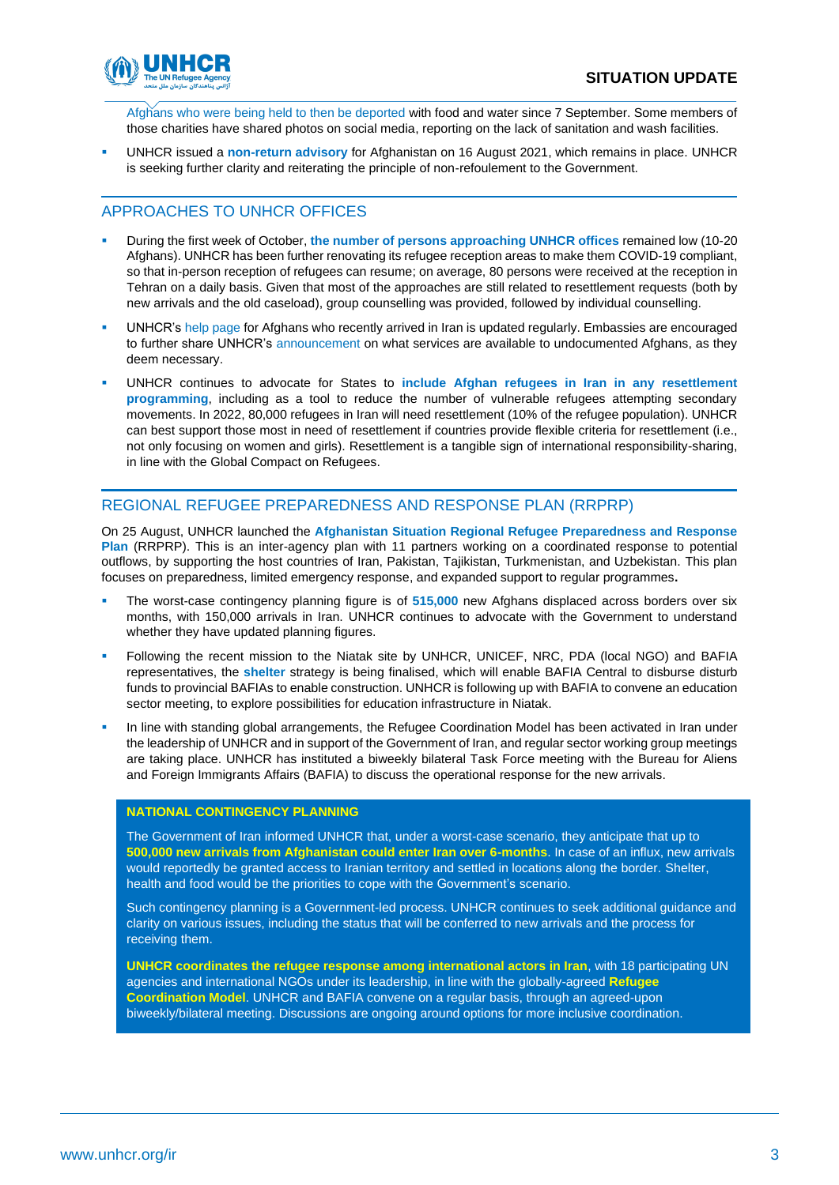

[Afghans who were being held to then be deported](https://www.isna.ir/news/1400070805401/%DB%B2%DB%B4%D9%87%D8%B2%D8%A7%D8%B1-%D9%85%D9%87%D8%A7%D8%AC%D8%B1-%D8%A7%D9%81%D8%BA%D8%A7%D9%86-%D8%AF%D8%B1-%D9%86%D9%82%D8%B7%D9%87-%D8%B5%D9%81%D8%B1-%D9%85%D8%B1%D8%B2%DB%8C-%D8%B3%DB%8C%D8%B3%D8%AA%D8%A7%D9%86-%D9%88%D8%A8%D9%84%D9%88%DA%86%D8%B3%D8%AA%D8%A7%D9%86-%D8%AE%D8%AF%D9%85%D8%A7%D8%AA-%D8%AF%D8%B1%DB%8C%D8%A7%D9%81%D8%AA) with food and water since 7 September. Some members of those charities have shared photos on social media, reporting on the lack of sanitation and wash facilities.

▪ UNHCR issued a **non-return advisory** for Afghanistan on 16 August 2021, which remains in place. UNHCR is seeking further clarity and reiterating the principle of non-refoulement to the Government.

# APPROACHES TO UNHCR OFFICES

- During the first week of October, **the number of persons approaching UNHCR offices** remained low (10-20 Afghans). UNHCR has been further renovating its refugee reception areas to make them COVID-19 compliant, so that in-person reception of refugees can resume; on average, 80 persons were received at the reception in Tehran on a daily basis. Given that most of the approaches are still related to resettlement requests (both by new arrivals and the old caseload), group counselling was provided, followed by individual counselling.
- UNHCR's [help page](https://help.unhcr.org/iran/en/) for Afghans who recently arrived in Iran is updated regularly. Embassies are encouraged to further share UNHCR's [announcement](https://www.unhcr.org/ir/2021/09/26/announcement-on-services-available-for-the-undocumented/) on what services are available to undocumented Afghans, as they deem necessary.
- UNHCR continues to advocate for States to **include Afghan refugees in Iran in any resettlement programming**, including as a tool to reduce the number of vulnerable refugees attempting secondary movements. In 2022, 80,000 refugees in Iran will need resettlement (10% of the refugee population). UNHCR can best support those most in need of resettlement if countries provide flexible criteria for resettlement (i.e., not only focusing on women and girls). Resettlement is a tangible sign of international responsibility-sharing, in line with the Global Compact on Refugees.

# REGIONAL REFUGEE PREPAREDNESS AND RESPONSE PLAN (RRPRP)

On 25 August, UNHCR launched the **[Afghanistan Situation Regional Refugee Preparedness and Response](https://data2.unhcr.org/en/documents/details/88385)  [Plan](https://data2.unhcr.org/en/documents/details/88385)** (RRPRP). This is an inter-agency plan with 11 partners working on a coordinated response to potential outflows, by supporting the host countries of Iran, Pakistan, Tajikistan, Turkmenistan, and Uzbekistan. This plan focuses on preparedness, limited emergency response, and expanded support to regular programmes**.**

- The worst-case contingency planning figure is of 515,000 new Afghans displaced across borders over six months, with 150,000 arrivals in Iran. UNHCR continues to advocate with the Government to understand whether they have updated planning figures.
- Following the recent mission to the Niatak site by UNHCR, UNICEF, NRC, PDA (local NGO) and BAFIA representatives, the **shelter** strategy is being finalised, which will enable BAFIA Central to disburse disturb funds to provincial BAFIAs to enable construction. UNHCR is following up with BAFIA to convene an education sector meeting, to explore possibilities for education infrastructure in Niatak.
- In line with standing global arrangements, the Refugee Coordination Model has been activated in Iran under the leadership of UNHCR and in support of the Government of Iran, and regular sector working group meetings are taking place. UNHCR has instituted a biweekly bilateral Task Force meeting with the Bureau for Aliens and Foreign Immigrants Affairs (BAFIA) to discuss the operational response for the new arrivals.

### **NATIONAL CONTINGENCY PLANNING**

The Government of Iran informed UNHCR that, under a worst-case scenario, they anticipate that up to **500,000 new arrivals from Afghanistan could enter Iran over 6-months**. In case of an influx, new arrivals would reportedly be granted access to Iranian territory and settled in locations along the border. Shelter, health and food would be the priorities to cope with the Government's scenario.

Such contingency planning is a Government-led process. UNHCR continues to seek additional guidance and clarity on various issues, including the status that will be conferred to new arrivals and the process for receiving them.

**UNHCR coordinates the refugee response among international actors in Iran**, with 18 participating UN agencies and international NGOs under its leadership, in line with the globally-agreed **Refugee Coordination Model**. UNHCR and BAFIA convene on a regular basis, through an agreed-upon biweekly/bilateral meeting. Discussions are ongoing around options for more inclusive coordination.